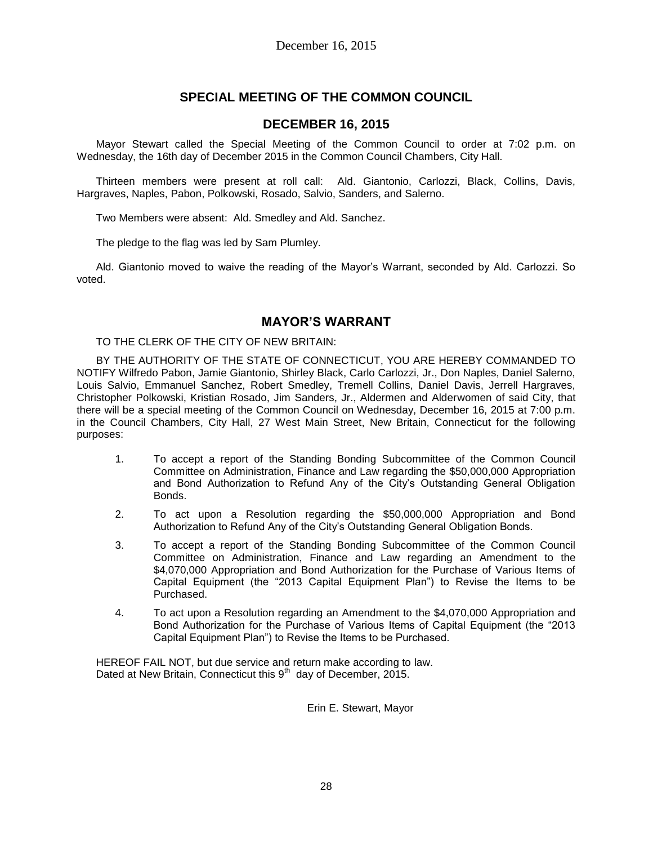# **SPECIAL MEETING OF THE COMMON COUNCIL**

### **DECEMBER 16, 2015**

Mayor Stewart called the Special Meeting of the Common Council to order at 7:02 p.m. on Wednesday, the 16th day of December 2015 in the Common Council Chambers, City Hall.

Thirteen members were present at roll call: Ald. Giantonio, Carlozzi, Black, Collins, Davis, Hargraves, Naples, Pabon, Polkowski, Rosado, Salvio, Sanders, and Salerno.

Two Members were absent: Ald. Smedley and Ald. Sanchez.

The pledge to the flag was led by Sam Plumley.

Ald. Giantonio moved to waive the reading of the Mayor's Warrant, seconded by Ald. Carlozzi. So voted.

### **MAYOR'S WARRANT**

TO THE CLERK OF THE CITY OF NEW BRITAIN:

BY THE AUTHORITY OF THE STATE OF CONNECTICUT, YOU ARE HEREBY COMMANDED TO NOTIFY Wilfredo Pabon, Jamie Giantonio, Shirley Black, Carlo Carlozzi, Jr., Don Naples, Daniel Salerno, Louis Salvio, Emmanuel Sanchez, Robert Smedley, Tremell Collins, Daniel Davis, Jerrell Hargraves, Christopher Polkowski, Kristian Rosado, Jim Sanders, Jr., Aldermen and Alderwomen of said City, that there will be a special meeting of the Common Council on Wednesday, December 16, 2015 at 7:00 p.m. in the Council Chambers, City Hall, 27 West Main Street, New Britain, Connecticut for the following purposes:

- 1. To accept a report of the Standing Bonding Subcommittee of the Common Council Committee on Administration, Finance and Law regarding the \$50,000,000 Appropriation and Bond Authorization to Refund Any of the City's Outstanding General Obligation Bonds.
- 2. To act upon a Resolution regarding the \$50,000,000 Appropriation and Bond Authorization to Refund Any of the City's Outstanding General Obligation Bonds.
- 3. To accept a report of the Standing Bonding Subcommittee of the Common Council Committee on Administration, Finance and Law regarding an Amendment to the \$4,070,000 Appropriation and Bond Authorization for the Purchase of Various Items of Capital Equipment (the "2013 Capital Equipment Plan") to Revise the Items to be Purchased.
- 4. To act upon a Resolution regarding an Amendment to the \$4,070,000 Appropriation and Bond Authorization for the Purchase of Various Items of Capital Equipment (the "2013 Capital Equipment Plan") to Revise the Items to be Purchased.

HEREOF FAIL NOT, but due service and return make according to law. Dated at New Britain, Connecticut this  $9<sup>th</sup>$  day of December, 2015.

Erin E. Stewart, Mayor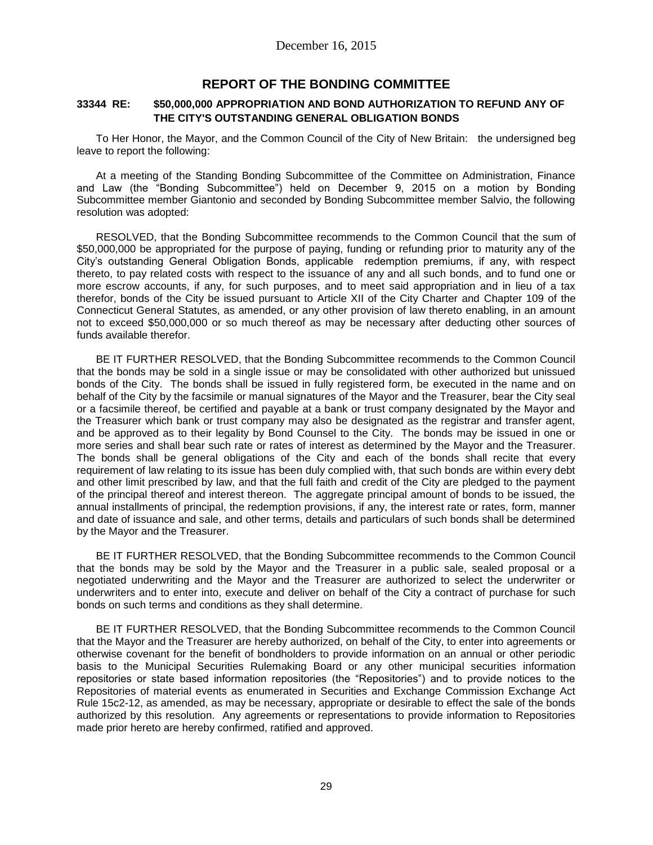### **REPORT OF THE BONDING COMMITTEE**

#### **33344 RE: \$50,000,000 APPROPRIATION AND BOND AUTHORIZATION TO REFUND ANY OF THE CITY'S OUTSTANDING GENERAL OBLIGATION BONDS**

To Her Honor, the Mayor, and the Common Council of the City of New Britain: the undersigned beg leave to report the following:

At a meeting of the Standing Bonding Subcommittee of the Committee on Administration, Finance and Law (the "Bonding Subcommittee") held on December 9, 2015 on a motion by Bonding Subcommittee member Giantonio and seconded by Bonding Subcommittee member Salvio, the following resolution was adopted:

RESOLVED, that the Bonding Subcommittee recommends to the Common Council that the sum of \$50,000,000 be appropriated for the purpose of paying, funding or refunding prior to maturity any of the City's outstanding General Obligation Bonds, applicable redemption premiums, if any, with respect thereto, to pay related costs with respect to the issuance of any and all such bonds, and to fund one or more escrow accounts, if any, for such purposes, and to meet said appropriation and in lieu of a tax therefor, bonds of the City be issued pursuant to Article XII of the City Charter and Chapter 109 of the Connecticut General Statutes, as amended, or any other provision of law thereto enabling, in an amount not to exceed \$50,000,000 or so much thereof as may be necessary after deducting other sources of funds available therefor.

BE IT FURTHER RESOLVED, that the Bonding Subcommittee recommends to the Common Council that the bonds may be sold in a single issue or may be consolidated with other authorized but unissued bonds of the City. The bonds shall be issued in fully registered form, be executed in the name and on behalf of the City by the facsimile or manual signatures of the Mayor and the Treasurer, bear the City seal or a facsimile thereof, be certified and payable at a bank or trust company designated by the Mayor and the Treasurer which bank or trust company may also be designated as the registrar and transfer agent, and be approved as to their legality by Bond Counsel to the City. The bonds may be issued in one or more series and shall bear such rate or rates of interest as determined by the Mayor and the Treasurer. The bonds shall be general obligations of the City and each of the bonds shall recite that every requirement of law relating to its issue has been duly complied with, that such bonds are within every debt and other limit prescribed by law, and that the full faith and credit of the City are pledged to the payment of the principal thereof and interest thereon. The aggregate principal amount of bonds to be issued, the annual installments of principal, the redemption provisions, if any, the interest rate or rates, form, manner and date of issuance and sale, and other terms, details and particulars of such bonds shall be determined by the Mayor and the Treasurer.

BE IT FURTHER RESOLVED, that the Bonding Subcommittee recommends to the Common Council that the bonds may be sold by the Mayor and the Treasurer in a public sale, sealed proposal or a negotiated underwriting and the Mayor and the Treasurer are authorized to select the underwriter or underwriters and to enter into, execute and deliver on behalf of the City a contract of purchase for such bonds on such terms and conditions as they shall determine.

BE IT FURTHER RESOLVED, that the Bonding Subcommittee recommends to the Common Council that the Mayor and the Treasurer are hereby authorized, on behalf of the City, to enter into agreements or otherwise covenant for the benefit of bondholders to provide information on an annual or other periodic basis to the Municipal Securities Rulemaking Board or any other municipal securities information repositories or state based information repositories (the "Repositories") and to provide notices to the Repositories of material events as enumerated in Securities and Exchange Commission Exchange Act Rule 15c2-12, as amended, as may be necessary, appropriate or desirable to effect the sale of the bonds authorized by this resolution. Any agreements or representations to provide information to Repositories made prior hereto are hereby confirmed, ratified and approved.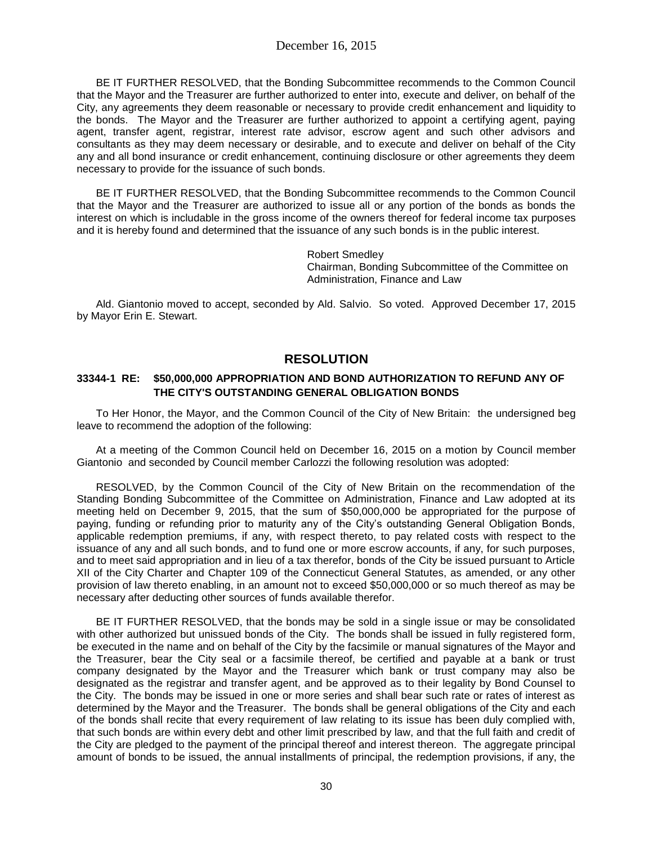BE IT FURTHER RESOLVED, that the Bonding Subcommittee recommends to the Common Council that the Mayor and the Treasurer are further authorized to enter into, execute and deliver, on behalf of the City, any agreements they deem reasonable or necessary to provide credit enhancement and liquidity to the bonds. The Mayor and the Treasurer are further authorized to appoint a certifying agent, paying agent, transfer agent, registrar, interest rate advisor, escrow agent and such other advisors and consultants as they may deem necessary or desirable, and to execute and deliver on behalf of the City any and all bond insurance or credit enhancement, continuing disclosure or other agreements they deem necessary to provide for the issuance of such bonds.

BE IT FURTHER RESOLVED, that the Bonding Subcommittee recommends to the Common Council that the Mayor and the Treasurer are authorized to issue all or any portion of the bonds as bonds the interest on which is includable in the gross income of the owners thereof for federal income tax purposes and it is hereby found and determined that the issuance of any such bonds is in the public interest.

> Robert Smedley Chairman, Bonding Subcommittee of the Committee on Administration, Finance and Law

Ald. Giantonio moved to accept, seconded by Ald. Salvio. So voted. Approved December 17, 2015 by Mayor Erin E. Stewart.

### **RESOLUTION**

#### **33344-1 RE: \$50,000,000 APPROPRIATION AND BOND AUTHORIZATION TO REFUND ANY OF THE CITY'S OUTSTANDING GENERAL OBLIGATION BONDS**

To Her Honor, the Mayor, and the Common Council of the City of New Britain: the undersigned beg leave to recommend the adoption of the following:

At a meeting of the Common Council held on December 16, 2015 on a motion by Council member Giantonio and seconded by Council member Carlozzi the following resolution was adopted:

RESOLVED, by the Common Council of the City of New Britain on the recommendation of the Standing Bonding Subcommittee of the Committee on Administration, Finance and Law adopted at its meeting held on December 9, 2015, that the sum of \$50,000,000 be appropriated for the purpose of paying, funding or refunding prior to maturity any of the City's outstanding General Obligation Bonds, applicable redemption premiums, if any, with respect thereto, to pay related costs with respect to the issuance of any and all such bonds, and to fund one or more escrow accounts, if any, for such purposes, and to meet said appropriation and in lieu of a tax therefor, bonds of the City be issued pursuant to Article XII of the City Charter and Chapter 109 of the Connecticut General Statutes, as amended, or any other provision of law thereto enabling, in an amount not to exceed \$50,000,000 or so much thereof as may be necessary after deducting other sources of funds available therefor.

BE IT FURTHER RESOLVED, that the bonds may be sold in a single issue or may be consolidated with other authorized but unissued bonds of the City. The bonds shall be issued in fully registered form, be executed in the name and on behalf of the City by the facsimile or manual signatures of the Mayor and the Treasurer, bear the City seal or a facsimile thereof, be certified and payable at a bank or trust company designated by the Mayor and the Treasurer which bank or trust company may also be designated as the registrar and transfer agent, and be approved as to their legality by Bond Counsel to the City. The bonds may be issued in one or more series and shall bear such rate or rates of interest as determined by the Mayor and the Treasurer. The bonds shall be general obligations of the City and each of the bonds shall recite that every requirement of law relating to its issue has been duly complied with, that such bonds are within every debt and other limit prescribed by law, and that the full faith and credit of the City are pledged to the payment of the principal thereof and interest thereon. The aggregate principal amount of bonds to be issued, the annual installments of principal, the redemption provisions, if any, the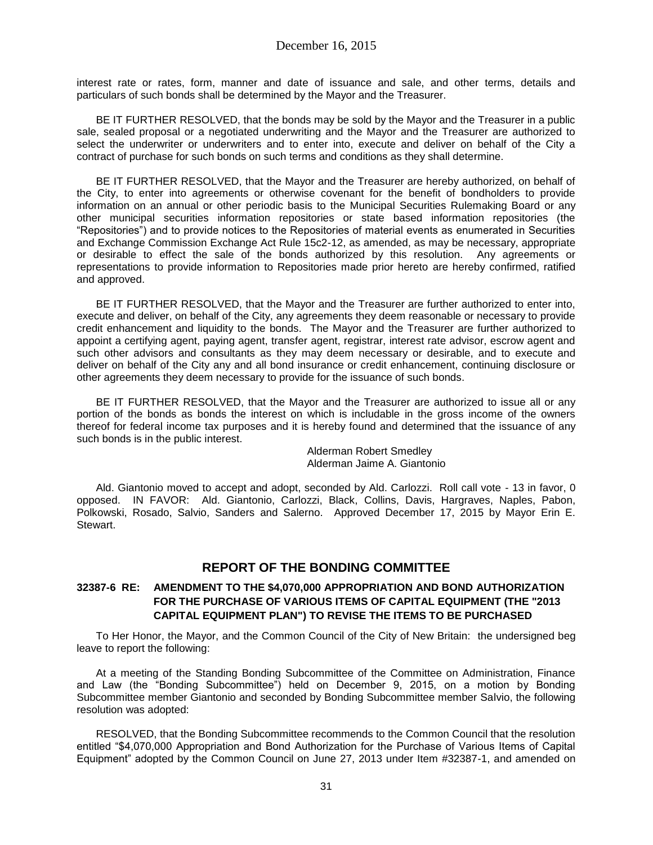interest rate or rates, form, manner and date of issuance and sale, and other terms, details and particulars of such bonds shall be determined by the Mayor and the Treasurer.

BE IT FURTHER RESOLVED, that the bonds may be sold by the Mayor and the Treasurer in a public sale, sealed proposal or a negotiated underwriting and the Mayor and the Treasurer are authorized to select the underwriter or underwriters and to enter into, execute and deliver on behalf of the City a contract of purchase for such bonds on such terms and conditions as they shall determine.

BE IT FURTHER RESOLVED, that the Mayor and the Treasurer are hereby authorized, on behalf of the City, to enter into agreements or otherwise covenant for the benefit of bondholders to provide information on an annual or other periodic basis to the Municipal Securities Rulemaking Board or any other municipal securities information repositories or state based information repositories (the "Repositories") and to provide notices to the Repositories of material events as enumerated in Securities and Exchange Commission Exchange Act Rule 15c2-12, as amended, as may be necessary, appropriate or desirable to effect the sale of the bonds authorized by this resolution. Any agreements or representations to provide information to Repositories made prior hereto are hereby confirmed, ratified and approved.

BE IT FURTHER RESOLVED, that the Mayor and the Treasurer are further authorized to enter into, execute and deliver, on behalf of the City, any agreements they deem reasonable or necessary to provide credit enhancement and liquidity to the bonds. The Mayor and the Treasurer are further authorized to appoint a certifying agent, paying agent, transfer agent, registrar, interest rate advisor, escrow agent and such other advisors and consultants as they may deem necessary or desirable, and to execute and deliver on behalf of the City any and all bond insurance or credit enhancement, continuing disclosure or other agreements they deem necessary to provide for the issuance of such bonds.

BE IT FURTHER RESOLVED, that the Mayor and the Treasurer are authorized to issue all or any portion of the bonds as bonds the interest on which is includable in the gross income of the owners thereof for federal income tax purposes and it is hereby found and determined that the issuance of any such bonds is in the public interest.

> Alderman Robert Smedley Alderman Jaime A. Giantonio

Ald. Giantonio moved to accept and adopt, seconded by Ald. Carlozzi. Roll call vote - 13 in favor, 0 opposed. IN FAVOR: Ald. Giantonio, Carlozzi, Black, Collins, Davis, Hargraves, Naples, Pabon, Polkowski, Rosado, Salvio, Sanders and Salerno. Approved December 17, 2015 by Mayor Erin E. Stewart.

# **REPORT OF THE BONDING COMMITTEE**

#### **32387-6 RE: AMENDMENT TO THE \$4,070,000 APPROPRIATION AND BOND AUTHORIZATION FOR THE PURCHASE OF VARIOUS ITEMS OF CAPITAL EQUIPMENT (THE "2013 CAPITAL EQUIPMENT PLAN") TO REVISE THE ITEMS TO BE PURCHASED**

To Her Honor, the Mayor, and the Common Council of the City of New Britain: the undersigned beg leave to report the following:

At a meeting of the Standing Bonding Subcommittee of the Committee on Administration, Finance and Law (the "Bonding Subcommittee") held on December 9, 2015, on a motion by Bonding Subcommittee member Giantonio and seconded by Bonding Subcommittee member Salvio, the following resolution was adopted:

RESOLVED, that the Bonding Subcommittee recommends to the Common Council that the resolution entitled "\$4,070,000 Appropriation and Bond Authorization for the Purchase of Various Items of Capital Equipment" adopted by the Common Council on June 27, 2013 under Item #32387-1, and amended on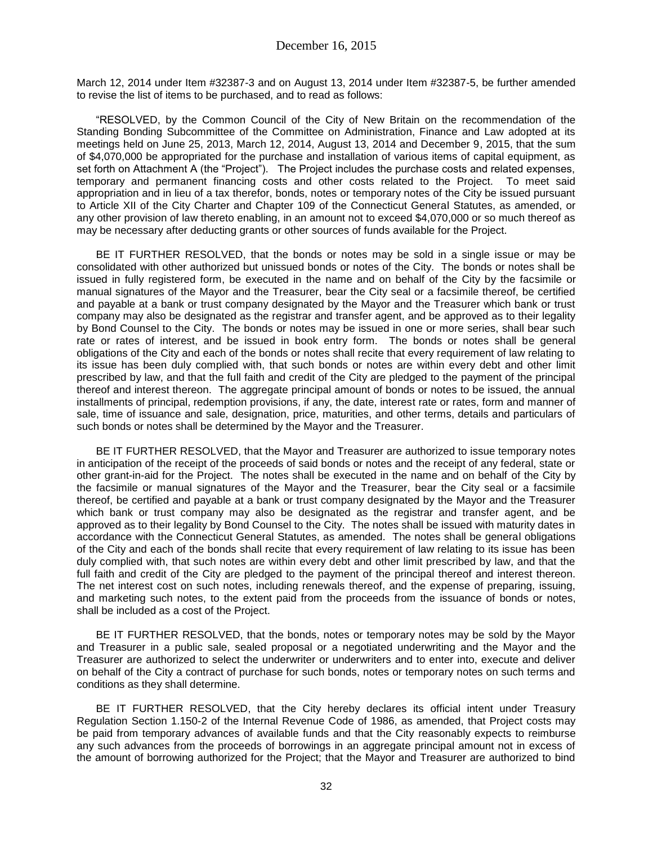March 12, 2014 under Item #32387-3 and on August 13, 2014 under Item #32387-5, be further amended to revise the list of items to be purchased, and to read as follows:

"RESOLVED, by the Common Council of the City of New Britain on the recommendation of the Standing Bonding Subcommittee of the Committee on Administration, Finance and Law adopted at its meetings held on June 25, 2013, March 12, 2014, August 13, 2014 and December 9, 2015, that the sum of \$4,070,000 be appropriated for the purchase and installation of various items of capital equipment, as set forth on Attachment A (the "Project"). The Project includes the purchase costs and related expenses, temporary and permanent financing costs and other costs related to the Project. To meet said appropriation and in lieu of a tax therefor, bonds, notes or temporary notes of the City be issued pursuant to Article XII of the City Charter and Chapter 109 of the Connecticut General Statutes, as amended, or any other provision of law thereto enabling, in an amount not to exceed \$4,070,000 or so much thereof as may be necessary after deducting grants or other sources of funds available for the Project.

BE IT FURTHER RESOLVED, that the bonds or notes may be sold in a single issue or may be consolidated with other authorized but unissued bonds or notes of the City. The bonds or notes shall be issued in fully registered form, be executed in the name and on behalf of the City by the facsimile or manual signatures of the Mayor and the Treasurer, bear the City seal or a facsimile thereof, be certified and payable at a bank or trust company designated by the Mayor and the Treasurer which bank or trust company may also be designated as the registrar and transfer agent, and be approved as to their legality by Bond Counsel to the City. The bonds or notes may be issued in one or more series, shall bear such rate or rates of interest, and be issued in book entry form. The bonds or notes shall be general obligations of the City and each of the bonds or notes shall recite that every requirement of law relating to its issue has been duly complied with, that such bonds or notes are within every debt and other limit prescribed by law, and that the full faith and credit of the City are pledged to the payment of the principal thereof and interest thereon. The aggregate principal amount of bonds or notes to be issued, the annual installments of principal, redemption provisions, if any, the date, interest rate or rates, form and manner of sale, time of issuance and sale, designation, price, maturities, and other terms, details and particulars of such bonds or notes shall be determined by the Mayor and the Treasurer.

BE IT FURTHER RESOLVED, that the Mayor and Treasurer are authorized to issue temporary notes in anticipation of the receipt of the proceeds of said bonds or notes and the receipt of any federal, state or other grant-in-aid for the Project. The notes shall be executed in the name and on behalf of the City by the facsimile or manual signatures of the Mayor and the Treasurer, bear the City seal or a facsimile thereof, be certified and payable at a bank or trust company designated by the Mayor and the Treasurer which bank or trust company may also be designated as the registrar and transfer agent, and be approved as to their legality by Bond Counsel to the City. The notes shall be issued with maturity dates in accordance with the Connecticut General Statutes, as amended. The notes shall be general obligations of the City and each of the bonds shall recite that every requirement of law relating to its issue has been duly complied with, that such notes are within every debt and other limit prescribed by law, and that the full faith and credit of the City are pledged to the payment of the principal thereof and interest thereon. The net interest cost on such notes, including renewals thereof, and the expense of preparing, issuing, and marketing such notes, to the extent paid from the proceeds from the issuance of bonds or notes, shall be included as a cost of the Project.

BE IT FURTHER RESOLVED, that the bonds, notes or temporary notes may be sold by the Mayor and Treasurer in a public sale, sealed proposal or a negotiated underwriting and the Mayor and the Treasurer are authorized to select the underwriter or underwriters and to enter into, execute and deliver on behalf of the City a contract of purchase for such bonds, notes or temporary notes on such terms and conditions as they shall determine.

BE IT FURTHER RESOLVED, that the City hereby declares its official intent under Treasury Regulation Section 1.150-2 of the Internal Revenue Code of 1986, as amended, that Project costs may be paid from temporary advances of available funds and that the City reasonably expects to reimburse any such advances from the proceeds of borrowings in an aggregate principal amount not in excess of the amount of borrowing authorized for the Project; that the Mayor and Treasurer are authorized to bind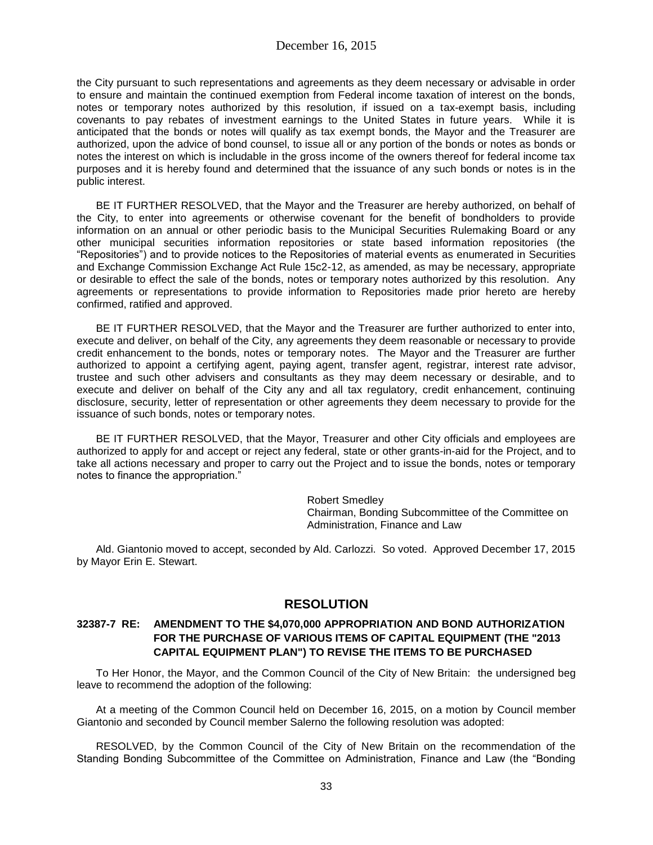the City pursuant to such representations and agreements as they deem necessary or advisable in order to ensure and maintain the continued exemption from Federal income taxation of interest on the bonds, notes or temporary notes authorized by this resolution, if issued on a tax-exempt basis, including covenants to pay rebates of investment earnings to the United States in future years. While it is anticipated that the bonds or notes will qualify as tax exempt bonds, the Mayor and the Treasurer are authorized, upon the advice of bond counsel, to issue all or any portion of the bonds or notes as bonds or notes the interest on which is includable in the gross income of the owners thereof for federal income tax purposes and it is hereby found and determined that the issuance of any such bonds or notes is in the public interest.

BE IT FURTHER RESOLVED, that the Mayor and the Treasurer are hereby authorized, on behalf of the City, to enter into agreements or otherwise covenant for the benefit of bondholders to provide information on an annual or other periodic basis to the Municipal Securities Rulemaking Board or any other municipal securities information repositories or state based information repositories (the "Repositories") and to provide notices to the Repositories of material events as enumerated in Securities and Exchange Commission Exchange Act Rule 15c2-12, as amended, as may be necessary, appropriate or desirable to effect the sale of the bonds, notes or temporary notes authorized by this resolution. Any agreements or representations to provide information to Repositories made prior hereto are hereby confirmed, ratified and approved.

BE IT FURTHER RESOLVED, that the Mayor and the Treasurer are further authorized to enter into, execute and deliver, on behalf of the City, any agreements they deem reasonable or necessary to provide credit enhancement to the bonds, notes or temporary notes. The Mayor and the Treasurer are further authorized to appoint a certifying agent, paying agent, transfer agent, registrar, interest rate advisor, trustee and such other advisers and consultants as they may deem necessary or desirable, and to execute and deliver on behalf of the City any and all tax regulatory, credit enhancement, continuing disclosure, security, letter of representation or other agreements they deem necessary to provide for the issuance of such bonds, notes or temporary notes.

BE IT FURTHER RESOLVED, that the Mayor, Treasurer and other City officials and employees are authorized to apply for and accept or reject any federal, state or other grants-in-aid for the Project, and to take all actions necessary and proper to carry out the Project and to issue the bonds, notes or temporary notes to finance the appropriation."

> Robert Smedley Chairman, Bonding Subcommittee of the Committee on Administration, Finance and Law

Ald. Giantonio moved to accept, seconded by Ald. Carlozzi. So voted. Approved December 17, 2015 by Mayor Erin E. Stewart.

# **RESOLUTION**

#### **32387-7 RE: AMENDMENT TO THE \$4,070,000 APPROPRIATION AND BOND AUTHORIZATION FOR THE PURCHASE OF VARIOUS ITEMS OF CAPITAL EQUIPMENT (THE "2013 CAPITAL EQUIPMENT PLAN") TO REVISE THE ITEMS TO BE PURCHASED**

To Her Honor, the Mayor, and the Common Council of the City of New Britain: the undersigned beg leave to recommend the adoption of the following:

At a meeting of the Common Council held on December 16, 2015, on a motion by Council member Giantonio and seconded by Council member Salerno the following resolution was adopted:

RESOLVED, by the Common Council of the City of New Britain on the recommendation of the Standing Bonding Subcommittee of the Committee on Administration, Finance and Law (the "Bonding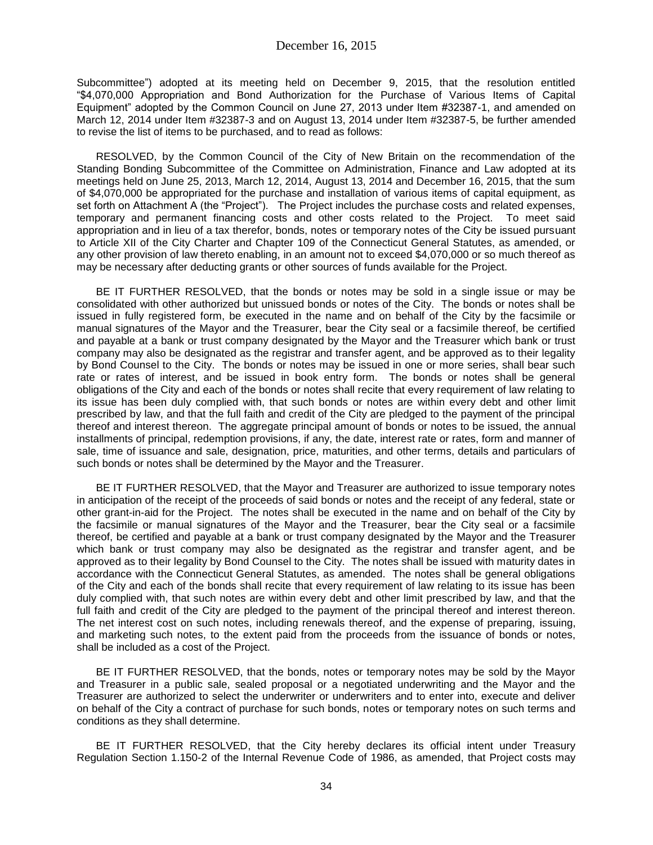Subcommittee") adopted at its meeting held on December 9, 2015, that the resolution entitled "\$4,070,000 Appropriation and Bond Authorization for the Purchase of Various Items of Capital Equipment" adopted by the Common Council on June 27, 2013 under Item #32387-1, and amended on March 12, 2014 under Item #32387-3 and on August 13, 2014 under Item #32387-5, be further amended to revise the list of items to be purchased, and to read as follows:

RESOLVED, by the Common Council of the City of New Britain on the recommendation of the Standing Bonding Subcommittee of the Committee on Administration, Finance and Law adopted at its meetings held on June 25, 2013, March 12, 2014, August 13, 2014 and December 16, 2015, that the sum of \$4,070,000 be appropriated for the purchase and installation of various items of capital equipment, as set forth on Attachment A (the "Project"). The Project includes the purchase costs and related expenses, temporary and permanent financing costs and other costs related to the Project. To meet said appropriation and in lieu of a tax therefor, bonds, notes or temporary notes of the City be issued pursuant to Article XII of the City Charter and Chapter 109 of the Connecticut General Statutes, as amended, or any other provision of law thereto enabling, in an amount not to exceed \$4,070,000 or so much thereof as may be necessary after deducting grants or other sources of funds available for the Project.

BE IT FURTHER RESOLVED, that the bonds or notes may be sold in a single issue or may be consolidated with other authorized but unissued bonds or notes of the City. The bonds or notes shall be issued in fully registered form, be executed in the name and on behalf of the City by the facsimile or manual signatures of the Mayor and the Treasurer, bear the City seal or a facsimile thereof, be certified and payable at a bank or trust company designated by the Mayor and the Treasurer which bank or trust company may also be designated as the registrar and transfer agent, and be approved as to their legality by Bond Counsel to the City. The bonds or notes may be issued in one or more series, shall bear such rate or rates of interest, and be issued in book entry form. The bonds or notes shall be general obligations of the City and each of the bonds or notes shall recite that every requirement of law relating to its issue has been duly complied with, that such bonds or notes are within every debt and other limit prescribed by law, and that the full faith and credit of the City are pledged to the payment of the principal thereof and interest thereon. The aggregate principal amount of bonds or notes to be issued, the annual installments of principal, redemption provisions, if any, the date, interest rate or rates, form and manner of sale, time of issuance and sale, designation, price, maturities, and other terms, details and particulars of such bonds or notes shall be determined by the Mayor and the Treasurer.

BE IT FURTHER RESOLVED, that the Mayor and Treasurer are authorized to issue temporary notes in anticipation of the receipt of the proceeds of said bonds or notes and the receipt of any federal, state or other grant-in-aid for the Project. The notes shall be executed in the name and on behalf of the City by the facsimile or manual signatures of the Mayor and the Treasurer, bear the City seal or a facsimile thereof, be certified and payable at a bank or trust company designated by the Mayor and the Treasurer which bank or trust company may also be designated as the registrar and transfer agent, and be approved as to their legality by Bond Counsel to the City. The notes shall be issued with maturity dates in accordance with the Connecticut General Statutes, as amended. The notes shall be general obligations of the City and each of the bonds shall recite that every requirement of law relating to its issue has been duly complied with, that such notes are within every debt and other limit prescribed by law, and that the full faith and credit of the City are pledged to the payment of the principal thereof and interest thereon. The net interest cost on such notes, including renewals thereof, and the expense of preparing, issuing, and marketing such notes, to the extent paid from the proceeds from the issuance of bonds or notes, shall be included as a cost of the Project.

BE IT FURTHER RESOLVED, that the bonds, notes or temporary notes may be sold by the Mayor and Treasurer in a public sale, sealed proposal or a negotiated underwriting and the Mayor and the Treasurer are authorized to select the underwriter or underwriters and to enter into, execute and deliver on behalf of the City a contract of purchase for such bonds, notes or temporary notes on such terms and conditions as they shall determine.

BE IT FURTHER RESOLVED, that the City hereby declares its official intent under Treasury Regulation Section 1.150-2 of the Internal Revenue Code of 1986, as amended, that Project costs may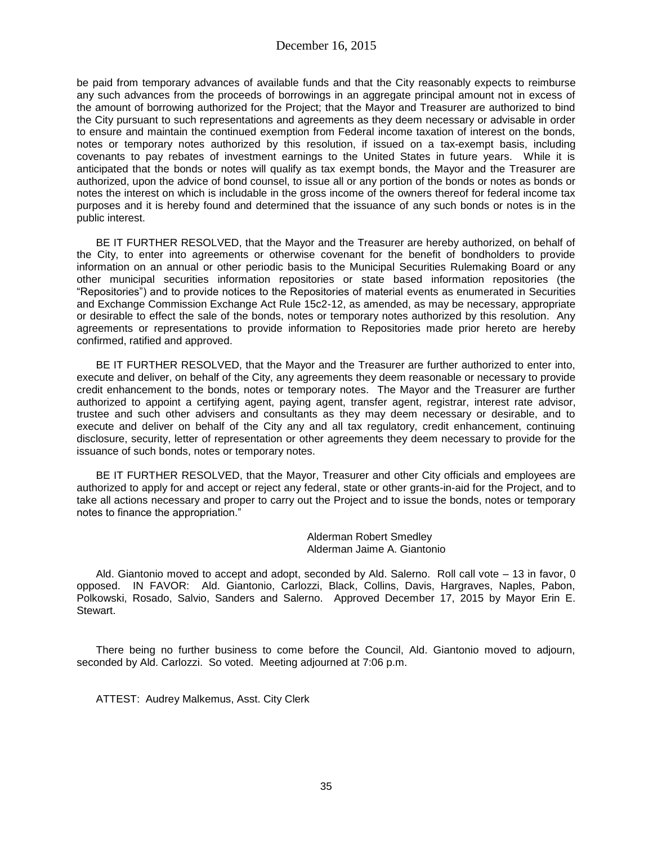be paid from temporary advances of available funds and that the City reasonably expects to reimburse any such advances from the proceeds of borrowings in an aggregate principal amount not in excess of the amount of borrowing authorized for the Project; that the Mayor and Treasurer are authorized to bind the City pursuant to such representations and agreements as they deem necessary or advisable in order to ensure and maintain the continued exemption from Federal income taxation of interest on the bonds, notes or temporary notes authorized by this resolution, if issued on a tax-exempt basis, including covenants to pay rebates of investment earnings to the United States in future years. While it is anticipated that the bonds or notes will qualify as tax exempt bonds, the Mayor and the Treasurer are authorized, upon the advice of bond counsel, to issue all or any portion of the bonds or notes as bonds or notes the interest on which is includable in the gross income of the owners thereof for federal income tax purposes and it is hereby found and determined that the issuance of any such bonds or notes is in the public interest.

BE IT FURTHER RESOLVED, that the Mayor and the Treasurer are hereby authorized, on behalf of the City, to enter into agreements or otherwise covenant for the benefit of bondholders to provide information on an annual or other periodic basis to the Municipal Securities Rulemaking Board or any other municipal securities information repositories or state based information repositories (the "Repositories") and to provide notices to the Repositories of material events as enumerated in Securities and Exchange Commission Exchange Act Rule 15c2-12, as amended, as may be necessary, appropriate or desirable to effect the sale of the bonds, notes or temporary notes authorized by this resolution. Any agreements or representations to provide information to Repositories made prior hereto are hereby confirmed, ratified and approved.

BE IT FURTHER RESOLVED, that the Mayor and the Treasurer are further authorized to enter into, execute and deliver, on behalf of the City, any agreements they deem reasonable or necessary to provide credit enhancement to the bonds, notes or temporary notes. The Mayor and the Treasurer are further authorized to appoint a certifying agent, paying agent, transfer agent, registrar, interest rate advisor, trustee and such other advisers and consultants as they may deem necessary or desirable, and to execute and deliver on behalf of the City any and all tax regulatory, credit enhancement, continuing disclosure, security, letter of representation or other agreements they deem necessary to provide for the issuance of such bonds, notes or temporary notes.

BE IT FURTHER RESOLVED, that the Mayor, Treasurer and other City officials and employees are authorized to apply for and accept or reject any federal, state or other grants-in-aid for the Project, and to take all actions necessary and proper to carry out the Project and to issue the bonds, notes or temporary notes to finance the appropriation."

> Alderman Robert Smedley Alderman Jaime A. Giantonio

Ald. Giantonio moved to accept and adopt, seconded by Ald. Salerno. Roll call vote – 13 in favor, 0 opposed. IN FAVOR: Ald. Giantonio, Carlozzi, Black, Collins, Davis, Hargraves, Naples, Pabon, Polkowski, Rosado, Salvio, Sanders and Salerno. Approved December 17, 2015 by Mayor Erin E. Stewart.

There being no further business to come before the Council, Ald. Giantonio moved to adjourn, seconded by Ald. Carlozzi. So voted. Meeting adjourned at 7:06 p.m.

ATTEST: Audrey Malkemus, Asst. City Clerk